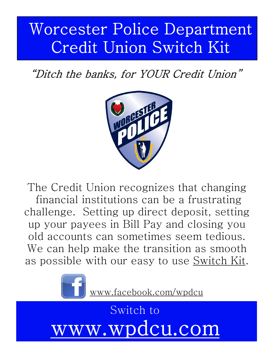# Worcester Police Department Credit Union Switch Kit

### "Ditch the banks, for YOUR Credit Union"



The Credit Union recognizes that changing financial institutions can be a frustrating challenge. Setting up direct deposit, setting up your payees in Bill Pay and closing you old accounts can sometimes seem tedious. We can help make the transition as smooth as possible with our easy to use Switch Kit.



www.facebook.com/wpdcu

Switch to v.wpdcu.coj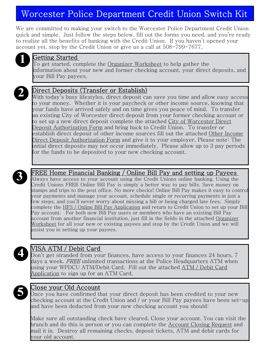### Worcester Police Department Credit Union Switch Kit

We are committed to making your switch to the Worcester Police Department Credit Union quick and simple. Just follow the steps below, fill out the forms you need, and you're ready to realize all the benefits of banking with the Credit Union. If you haven't opened your account yet, stop by the Credit Union or give us a call at 508-799-7677.



#### **Getting Started**

 $\Gamma$ o get started, complete the Organizer Worksheet to help gather the information about your new and former checking account, your direct deposits, and your Bill Pay payees.



**Direct Deposits (Transfer or Establish)**<br>With today's busy lifestyles, direct deposit can save you time and allow easy access to your money. Whether it is your paycheck or other income source, knowing that your funds have arrived safely and on time gives you peace of mind. To transfer an existing City of Worcester direct deposit from your former checking account or to set up a new direct deposit complete the attached City of Worcester Direct Deposit Authorization Form and bring back to Credit Union. To transfer or establish direct deposit of other income sources fill out the attached Other Income Direct Deposit Authorization Form and give it to your employer. Please note: The initial direct deposits may not occur immediately. Please allow up to 3 pay periods for the funds to be deposited to your new checking account.



### FREE Home Financial Banking / Online Bill Pay and setting up Payees<br>Always have access to your account using the Credit Unions online banking. Using the

Credit Unions FREE Online Bill Pay is simply a better way to pay bills. Save money on stamps and trips to the post office. No more checks! Online Bill Pay makes it easy to control your payments and manage your account, schedule single or recurring payments in just a few steps, and you'll never worry about missing a bill or being charged late fees. Simply complete theHFS / Online Bill Pay Application and return to Credit Union to set up your Bill Pay account. For both new Bill Pay users or members who have an existing Bill Pay account from another financial institution, just fill in the fields in the attached Organizer Worksheet for all your new or existing payees and stop by the Credit Union and we will assist you in setting up your payees.



Don't get stranded from your finances, have access to your finances 24 hours, 7 days a week.  $\it FREE$  unlimited transactions at the Police Headquarters ATM when using your WPDCU ATM/Debit Card. Fill out the attached ATM / Debit Card Application to sign up for an ATM Card.



S Close your Old Account<br>Once you have confirmed that your direct deposit has been credited to your new checking account at the Credit Union and / or your Bill Pay payees have been set-up and have been deducted from your new checking account you should:

Make sure all outstanding check have cleared. Close your account. You can visit the branch and do this is person or you can complete the Account Closing Request and mail it in. Destroy all remaining checks, deposit tickets, ATM and debit cards for your old account.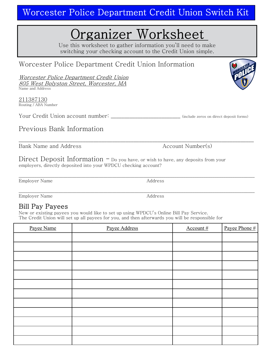Worcester Police Department Credit Union Switch Kit

### rganizer Worksheet

Use this worksheet to gather information you'll need to make switching your checking account to the Credit Union simple.

### Worcester Police Department Credit Union Information

Worcester Police Department Credit Union 805 West Bolyston Street, Worcester, MA Name and Address

211387130 Routing / ABA Number

Your Credit Union account number: \_\_\_\_\_\_\_\_\_\_\_\_\_\_\_\_\_\_\_\_\_\_\_\_\_\_\_(include zeros on direct deposit forms)

#### Previous Bank Information

\_\_\_\_\_\_\_\_\_\_\_\_\_\_\_\_\_\_\_\_\_\_\_\_\_\_\_\_\_\_\_\_\_\_\_\_\_\_\_\_\_\_\_\_\_\_\_\_\_\_\_\_\_\_\_\_\_\_\_\_\_\_\_\_\_\_\_\_\_\_\_\_\_\_\_\_\_\_\_\_\_\_\_\_\_\_\_\_ Bank Name and Address and Address Account Number(s)

Direct Deposit Information  $-$  Do you have, or wish to have, any deposits from your employers, directly deposited into your WPDCU checking account?

Employer Name Address

\_\_\_\_\_\_\_\_\_\_\_\_\_\_\_\_\_\_\_\_\_\_\_\_\_\_\_\_\_\_\_\_\_\_\_\_\_\_\_\_\_\_\_\_\_\_\_\_\_\_\_\_\_\_\_\_\_\_\_\_\_\_\_\_\_\_\_\_\_\_\_\_\_\_\_\_\_\_\_\_\_\_\_\_\_\_\_\_\_\_\_\_\_\_\_\_\_\_\_\_\_\_\_\_\_\_ Employer Name Address

#### **Bill Pay Payees**

New or existing payees you would like to set up using WPDCU's Online Bill Pay Service. The Credit Union will set up all payees for you, and then afterwards you will be responsible for

| Payee Name | Payee Address | Account # | Payee Phone # |
|------------|---------------|-----------|---------------|
|            |               |           |               |
|            |               |           |               |
|            |               |           |               |
|            |               |           |               |
|            |               |           |               |
|            |               |           |               |
|            |               |           |               |
|            |               |           |               |
|            |               |           |               |
|            |               |           |               |
|            |               |           |               |
|            |               |           |               |



\_\_\_\_\_\_\_\_\_\_\_\_\_\_\_\_\_\_\_\_\_\_\_\_\_\_\_\_\_\_\_\_\_\_\_\_\_\_\_\_\_\_\_\_\_\_\_\_\_\_\_\_\_\_\_\_\_\_\_\_\_\_\_\_\_\_\_\_\_\_\_\_\_\_\_\_\_\_\_\_\_\_\_\_\_\_\_\_\_\_\_\_\_\_\_\_\_\_\_\_\_\_\_\_\_\_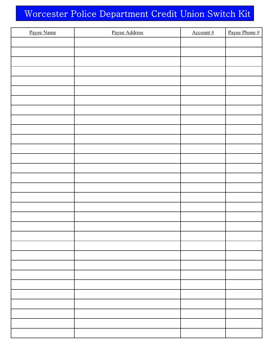### Worcester Police Department Credit Union Switch Kit

| Payee Name | Payee Address | Account# | Payee Phone # |
|------------|---------------|----------|---------------|
|            |               |          |               |
|            |               |          |               |
|            |               |          |               |
|            |               |          |               |
|            |               |          |               |
|            |               |          |               |
|            |               |          |               |
|            |               |          |               |
|            |               |          |               |
|            |               |          |               |
|            |               |          |               |
|            |               |          |               |
|            |               |          |               |
|            |               |          |               |
|            |               |          |               |
|            |               |          |               |
|            |               |          |               |
|            |               |          |               |
|            |               |          |               |
|            |               |          |               |
|            |               |          |               |
|            |               |          |               |
|            |               |          |               |
|            |               |          |               |
|            |               |          |               |
|            |               |          |               |
|            |               |          |               |
|            |               |          |               |
|            |               |          |               |
|            |               |          |               |
|            |               |          |               |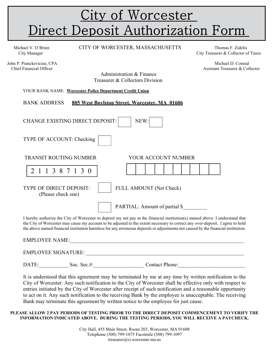## <u>City of Worcester</u> Direct Deposit Authorization Form

John P. Pranckevicius, CPA Michael D. Conrad Michael D. Conrad Michael D. Conrad Michael D. Conrad Michael D. Conrad Michael D. Conrad Michael D. Conrad Michael D. Conrad Michael D. Conrad Michael D. Conrad Michael D. Conr

Michael V. O'Brien CITY OF WORCESTER, MASSACHUSETTS Thomas F. Zidelis

City Manager City Manager City Treasurer & Collector of Taxes

Assistant Treasurer & Collector

 Administration & Finance Treasurer & Collectors Division

YOUR BANK NAME:**Worcester Police Department Credit Union**

BANK ADDRESS **805 West Boylston Street, Worcester, MA 01606**

| <b>CHANGE EXISTING DIRECT DEPOSIT:</b><br>NEW:       |  |                                |  |  |                     |  |  |  |  |
|------------------------------------------------------|--|--------------------------------|--|--|---------------------|--|--|--|--|
| TYPE OF ACCOUNT: Checking                            |  |                                |  |  |                     |  |  |  |  |
| <b>TRANSIT ROUTING NUMBER</b>                        |  |                                |  |  | YOUR ACCOUNT NUMBER |  |  |  |  |
| 2 1 1 3 8 7 1 3 0                                    |  |                                |  |  |                     |  |  |  |  |
| <b>TYPE OF DIRECT DEPOSIT:</b><br>(Please check one) |  | <b>FULL AMOUNT</b> (Net Check) |  |  |                     |  |  |  |  |
|                                                      |  | PARTIAL: Amount of partial \$  |  |  |                     |  |  |  |  |

I hereby authorize the City of Worcester to deposit my net pay at the financial institution(s) named above. I understand that the City of Worcester may cause my account to be adjusted to the extent necessary to correct any over-deposit. I agree to hold the above named financial institution harmless for any erroneous deposits or adjustments not caused by the financial institution.

EMPLOYEE NAME: EMPLOYEE SIGNATURE: DATE: Soc. Sec.#: Contact Phone:

It is understood that this agreement may be terminated by me at any time by written notification to the City of Worcester. Any such notification to the City of Worcester shall be effective only with respect to entries initiated by the City of Worcester after receipt of such notification and a reasonable opportunity to act on it. Any such notification to the receiving Bank by the employee is unacceptable. The receiving Bank may terminate this agreement by written notice to the employee for just cause.

#### **PLEASE ALLOW 2 PAY PERIODS OF TESTING PRIOR TO THE DIRECT DEPOSIT COMMENCEMENT TO VERIFY THE INFORMATION INDICATED ABOVE. DURING THE TESTING PERIODS, YOU WILL RECEIVE A PAYCHECK.**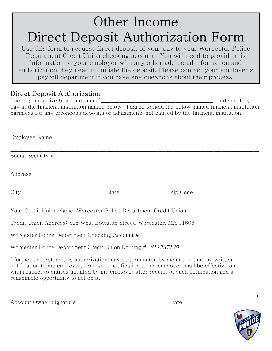## Other Income Direct Deposit Authorization Form

Use this form to request direct deposit of your pay to your Worcester Police Department Credit Union checking account. You will need to provide this information to your employer with any other additional information and authorization they need to initiate the deposit. Please contact your employer's payroll department if you have any questions about their process.

### Direct Deposit Authorization

I hereby authorize (company name)\_\_\_\_\_\_\_\_\_\_\_\_\_\_\_\_\_\_\_\_\_\_\_\_\_\_\_\_\_\_\_\_\_\_\_\_\_\_\_\_\_\_, to deposit my pay at the financial institution named below. I agree to hold the below named financial institution harmless for any erroneous deposits or adjustments not caused by the financial institution.

\_\_\_\_\_\_\_\_\_\_\_\_\_\_\_\_\_\_\_\_\_\_\_\_\_\_\_\_\_\_\_\_\_\_\_\_\_\_\_\_\_\_\_\_\_\_\_\_\_\_\_\_\_\_\_\_\_\_\_\_\_\_\_\_\_\_\_\_\_\_\_\_\_\_\_\_\_\_\_\_\_\_\_\_\_\_\_\_\_\_\_\_\_

\_\_\_\_\_\_\_\_\_\_\_\_\_\_\_\_\_\_\_\_\_\_\_\_\_\_\_\_\_\_\_\_\_\_\_\_\_\_\_\_\_\_\_\_\_\_\_\_\_\_\_\_\_\_\_\_\_\_\_\_\_\_\_\_\_\_\_\_\_\_\_\_\_\_\_\_\_\_\_\_\_\_\_\_\_\_\_\_\_\_\_\_\_

\_\_\_\_\_\_\_\_\_\_\_\_\_\_\_\_\_\_\_\_\_\_\_\_\_\_\_\_\_\_\_\_\_\_\_\_\_\_\_\_\_\_\_\_\_\_\_\_\_\_\_\_\_\_\_\_\_\_\_\_\_\_\_\_\_\_\_\_\_\_\_\_\_\_\_\_\_\_\_\_\_\_\_\_\_\_\_\_\_\_\_\_\_ Employee Name

\_\_\_\_\_\_\_\_\_\_\_\_\_\_\_\_\_\_\_\_\_\_\_\_\_\_\_\_\_\_\_\_\_\_\_\_\_\_\_\_\_\_\_\_\_\_\_\_\_\_\_\_\_\_\_\_\_\_\_\_\_\_\_\_\_\_\_\_\_\_\_\_\_\_\_\_\_\_\_\_\_\_\_\_\_\_\_\_\_\_\_\_\_ Social Security #

Address

City State Zip Code

Your Credit Union Name: Worcester Police Department Credit Union

Credit Union Address: 805 West Boylston Street, Worcester, MA 01606

Worcester Police Department Checking Account #:

Worcester Police Department Credit Union Routing #: 211387130

I further understand this authorization may be terminated by me at any time by written notification to my employer. Any such notification to my employer shall be effective only with respect to entries initiated by my employer after receipt of such notification and a reasonable opportunity to act on it.

| Account Owner Signature |  |  | Date |
|-------------------------|--|--|------|
|-------------------------|--|--|------|

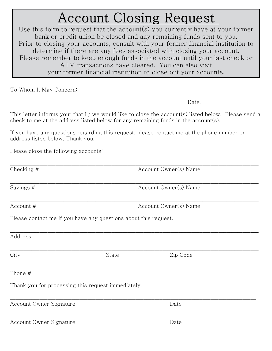## **Account Closing Request**

Use this form to request that the account(s) you currently have at your former bank or credit union be closed and any remaining funds sent to you. Prior to closing your accounts, consult with your former financial institution to determine if there are any fees associated with closing your account. Please remember to keep enough funds in the account until your last check or ATM transactions have cleared. You can also visit your former financial institution to close out your accounts.

To Whom It May Concern:

 $Date:$ 

This letter informs your that  $I /$  we would like to close the account(s) listed below. Please send a check to me at the address listed below for any remaining funds in the account(s).

If you have any questions regarding this request, please contact me at the phone number or address listed below. Thank you.

Please close the following accounts:

| Checking #                                |                                                                 | Account Owner(s) Name |  |  |  |
|-------------------------------------------|-----------------------------------------------------------------|-----------------------|--|--|--|
| Savings #                                 |                                                                 | Account Owner(s) Name |  |  |  |
| Account #                                 |                                                                 | Account Owner(s) Name |  |  |  |
|                                           | Please contact me if you have any questions about this request. |                       |  |  |  |
| Address                                   |                                                                 |                       |  |  |  |
| City                                      | State                                                           | Zip Code              |  |  |  |
| Phone #                                   |                                                                 |                       |  |  |  |
|                                           | Thank you for processing this request immediately.              |                       |  |  |  |
| Account Owner Signature                   |                                                                 | Date                  |  |  |  |
| $\sim$ $\sim$ $\sim$ $\sim$ $\sim$ $\sim$ |                                                                 | $\mathbf{D}$          |  |  |  |

Account Owner Signature **Date** Date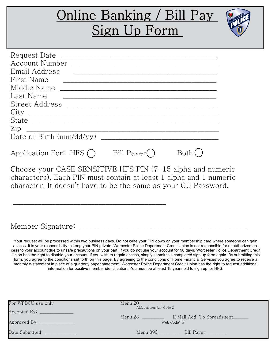### )nline Banking / Bill Pay Sign Up Form Request Date \_\_\_\_\_\_\_\_\_\_\_\_\_\_\_\_\_\_\_\_\_\_\_\_\_\_\_\_\_\_\_\_\_\_\_\_\_\_\_\_\_\_\_\_ Account Number \_\_\_\_\_\_\_\_\_\_\_\_\_\_\_\_\_\_\_\_\_\_\_\_\_\_\_\_\_\_\_\_\_\_\_\_\_\_\_\_\_ Email Address \_\_\_\_\_\_\_\_\_\_\_\_\_\_\_\_\_\_\_\_\_\_\_\_\_\_\_\_\_\_\_\_\_\_\_\_\_\_\_\_ First Name Middle Name \_\_\_\_\_\_\_\_\_\_\_\_\_\_\_\_\_\_\_\_\_\_\_\_\_\_\_\_\_\_\_\_\_\_\_\_\_\_\_\_\_\_\_\_ Last Name Street Address \_\_\_\_\_\_\_\_\_\_\_\_\_\_\_\_\_\_\_\_\_\_\_\_\_\_\_\_\_\_\_\_\_\_\_\_\_\_\_\_\_\_ City \_\_\_\_\_\_\_\_\_\_\_\_\_\_\_\_\_\_\_\_\_\_\_\_\_\_\_\_\_\_\_\_\_\_\_\_\_\_\_\_\_\_\_\_\_\_\_\_\_\_\_\_\_ State \_\_\_\_\_\_\_\_\_\_\_\_\_\_\_\_\_\_\_\_\_\_\_\_\_\_\_\_\_\_\_\_\_\_\_\_\_\_\_\_\_\_\_\_\_\_\_\_\_\_\_\_  $\rm Zip$   $\sim$ Date of Birth (mm/dd/yy) \_\_\_\_\_\_\_\_\_\_\_\_\_\_\_\_\_\_\_\_\_\_\_\_\_\_\_\_\_\_\_\_\_ Application For: HFS  $\bigcap$  Bill Payer Both  $\bigcap$

Choose your CASE SENSITIVE HFS PIN (7-15 alpha and numeric characters). Each PIN must contain at least 1 alpha and 1 numeric character. It doesn't have to be the same as your CU Password.

\_\_\_\_\_\_\_\_\_\_\_\_\_\_\_\_\_\_\_\_\_\_\_\_\_\_\_\_\_\_\_\_\_\_\_\_\_\_\_\_\_\_\_

Member Signature: \_\_\_\_\_\_\_\_\_\_\_\_\_\_\_\_\_\_\_\_\_\_\_\_\_\_\_\_\_\_\_\_\_\_\_\_\_\_\_\_\_\_\_\_\_\_\_

Your request will be processed within two business days. Do not write your PIN down on your membership card where someone can gain access. It is your responsibility to keep your PIN private. Worcester Police Department Credit Union is not responsible for unauthorized ac cess to your account due to unsafe precautions on your part. If you do not use your account for 90 days, Worcester Police Department Credit Union has the right to disable your account. If you wish to regain access, simply submit this completed sign up form again. By submitting this form, you agree to the conditions set forth on this page. By agreeing to the conditions of Home Financial Services you agree to receive a monthly e-statement in place of a quarterly paper statement. Worcester Police Department Credit Union has the right to request additional information for positive member identification. You must be at least 18 years old to sign up for HFS.

| For WPDCU use only                    | Menu 20 and the Menu and the Menu and the Menu and the Menu and the Menu and the Menu and the Menu and the Me |
|---------------------------------------|---------------------------------------------------------------------------------------------------------------|
|                                       | ALL suffixes Run Code 2                                                                                       |
| Accepted By: Network and Accepted By: |                                                                                                               |
|                                       | Menu~28<br>E Mail Add To Spreadsheet                                                                          |
| Approved By: _______________          | Web Code: W                                                                                                   |
|                                       |                                                                                                               |
|                                       |                                                                                                               |
| Date Submitted: ____________          | Menu 890 ________<br>Bill Payer_________                                                                      |
|                                       |                                                                                                               |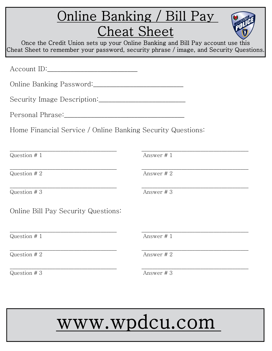|                                                                                                                 | <u> Online Banking / Bill Pay</u><br><b>Cheat Sheet</b><br>Once the Credit Union sets up your Online Banking and Bill Pay account use this<br>Cheat Sheet to remember your password, security phrase / image, and Security Questions. |
|-----------------------------------------------------------------------------------------------------------------|---------------------------------------------------------------------------------------------------------------------------------------------------------------------------------------------------------------------------------------|
|                                                                                                                 |                                                                                                                                                                                                                                       |
|                                                                                                                 |                                                                                                                                                                                                                                       |
| Security Image Description:                                                                                     |                                                                                                                                                                                                                                       |
| Personal Phrase: The contract of the contract of the contract of the contract of the contract of the contract o |                                                                                                                                                                                                                                       |
| Home Financial Service / Online Banking Security Questions:                                                     |                                                                                                                                                                                                                                       |
|                                                                                                                 |                                                                                                                                                                                                                                       |
| Question $# 1$                                                                                                  | Answer $# 1$                                                                                                                                                                                                                          |
| Question # 2                                                                                                    | Answer # 2                                                                                                                                                                                                                            |
| Question #3                                                                                                     | Answer # 3                                                                                                                                                                                                                            |
| Online Bill Pay Security Questions:                                                                             |                                                                                                                                                                                                                                       |
| Question $# 1$                                                                                                  | Answer #1                                                                                                                                                                                                                             |
| Question # 2                                                                                                    | Answer # 2                                                                                                                                                                                                                            |
| Question $# 3$                                                                                                  | Answer # 3                                                                                                                                                                                                                            |

# www.wpdcu.com